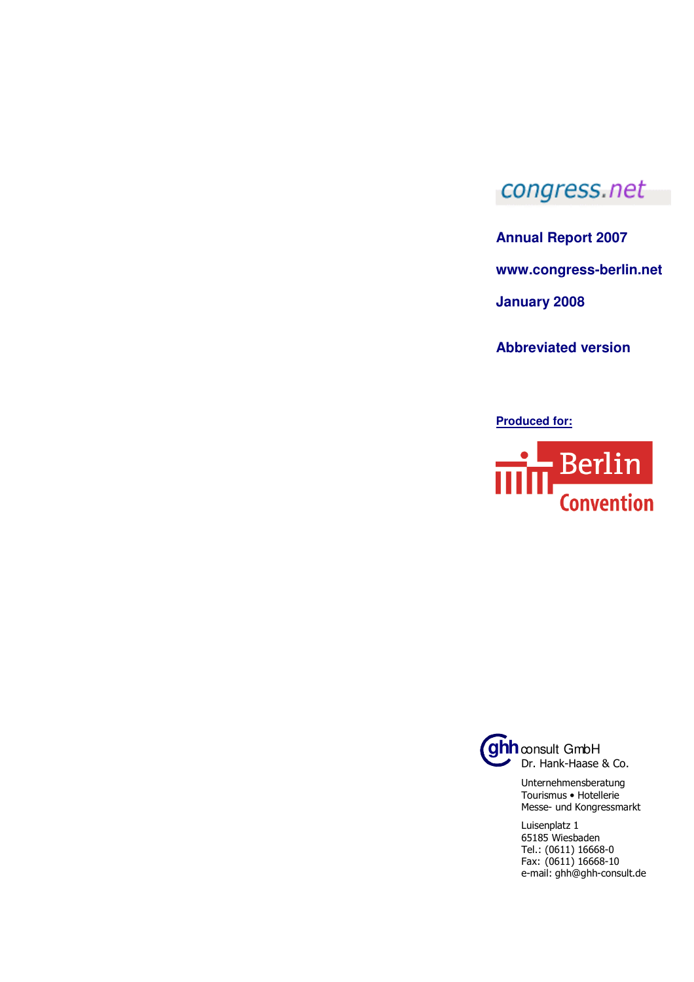## congress.net

**Annual Report 2007** 

**www.congress-berlin.net** 

**January 2008**

**Abbreviated version** 

**Produced for:**





Unternehmensberatung Tourismus • Hotellerie Messe- und Kongressmarkt

Luisenplatz 1 65185 Wiesbaden Tel.: (0611) 16668-0 Fax: (0611) 16668-10 e-mail: ghh@ghh-consult.de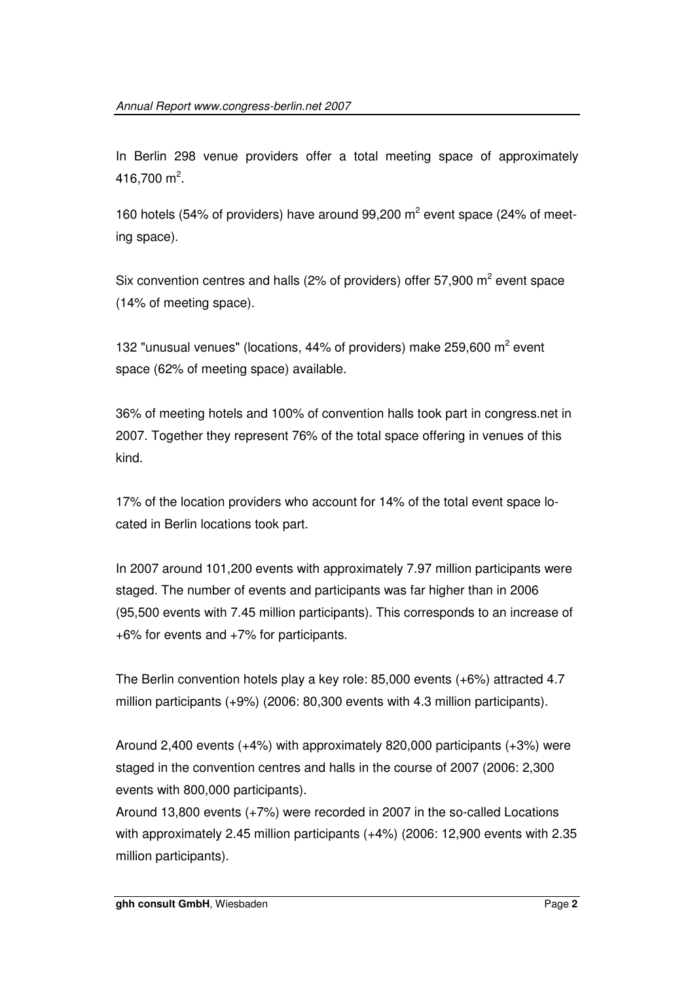In Berlin 298 venue providers offer a total meeting space of approximately  $416,700 \text{ m}^2$ .

160 hotels (54% of providers) have around 99,200  $m^2$  event space (24% of meeting space).

Six convention centres and halls (2% of providers) offer 57,900  $m^2$  event space (14% of meeting space).

132 "unusual venues" (locations, 44% of providers) make 259,600  $m^2$  event space (62% of meeting space) available.

36% of meeting hotels and 100% of convention halls took part in congress.net in 2007. Together they represent 76% of the total space offering in venues of this kind.

17% of the location providers who account for 14% of the total event space located in Berlin locations took part.

In 2007 around 101,200 events with approximately 7.97 million participants were staged. The number of events and participants was far higher than in 2006 (95,500 events with 7.45 million participants). This corresponds to an increase of +6% for events and +7% for participants.

The Berlin convention hotels play a key role: 85,000 events (+6%) attracted 4.7 million participants (+9%) (2006: 80,300 events with 4.3 million participants).

Around 2,400 events (+4%) with approximately 820,000 participants (+3%) were staged in the convention centres and halls in the course of 2007 (2006: 2,300 events with 800,000 participants).

Around 13,800 events (+7%) were recorded in 2007 in the so-called Locations with approximately 2.45 million participants (+4%) (2006: 12,900 events with 2.35 million participants).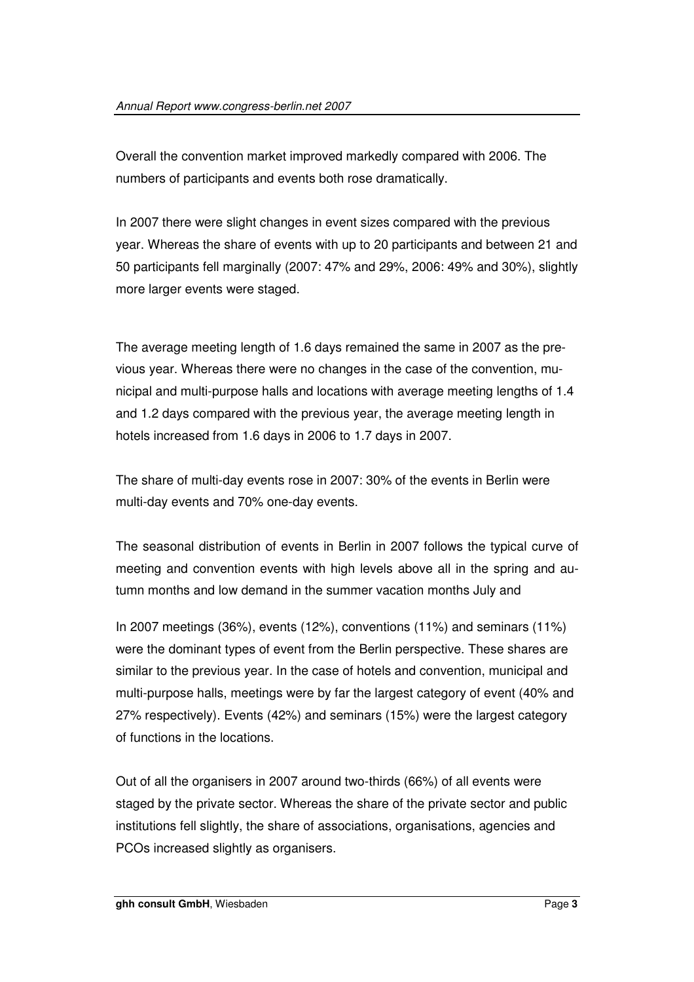Overall the convention market improved markedly compared with 2006. The numbers of participants and events both rose dramatically.

In 2007 there were slight changes in event sizes compared with the previous year. Whereas the share of events with up to 20 participants and between 21 and 50 participants fell marginally (2007: 47% and 29%, 2006: 49% and 30%), slightly more larger events were staged.

The average meeting length of 1.6 days remained the same in 2007 as the previous year. Whereas there were no changes in the case of the convention, municipal and multi-purpose halls and locations with average meeting lengths of 1.4 and 1.2 days compared with the previous year, the average meeting length in hotels increased from 1.6 days in 2006 to 1.7 days in 2007.

The share of multi-day events rose in 2007: 30% of the events in Berlin were multi-day events and 70% one-day events.

The seasonal distribution of events in Berlin in 2007 follows the typical curve of meeting and convention events with high levels above all in the spring and autumn months and low demand in the summer vacation months July and

In 2007 meetings (36%), events (12%), conventions (11%) and seminars (11%) were the dominant types of event from the Berlin perspective. These shares are similar to the previous year. In the case of hotels and convention, municipal and multi-purpose halls, meetings were by far the largest category of event (40% and 27% respectively). Events (42%) and seminars (15%) were the largest category of functions in the locations.

Out of all the organisers in 2007 around two-thirds (66%) of all events were staged by the private sector. Whereas the share of the private sector and public institutions fell slightly, the share of associations, organisations, agencies and PCOs increased slightly as organisers.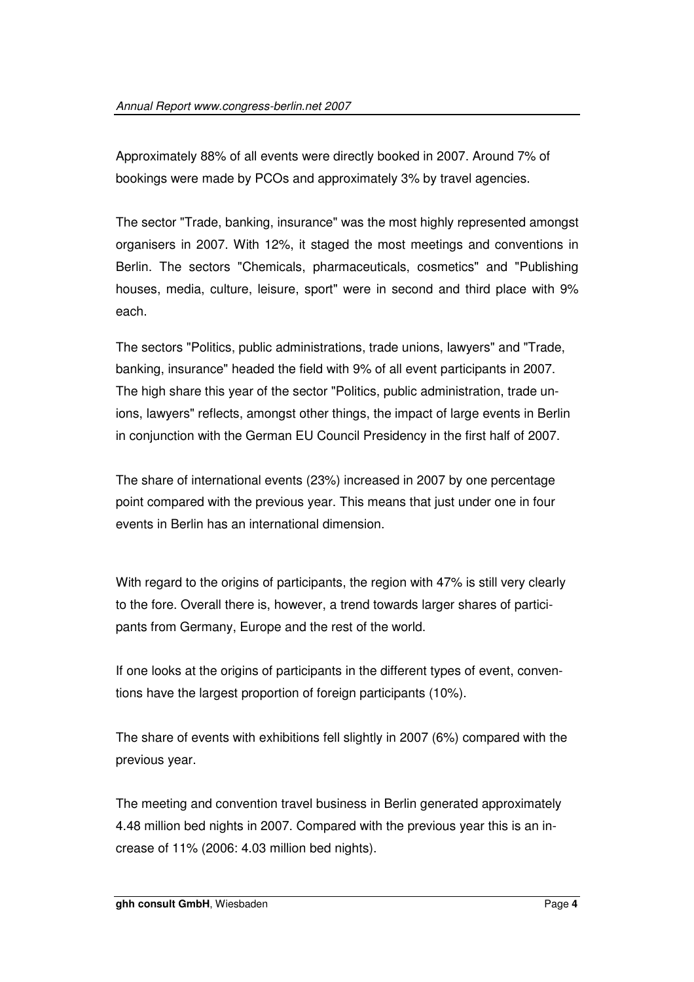Approximately 88% of all events were directly booked in 2007. Around 7% of bookings were made by PCOs and approximately 3% by travel agencies.

The sector "Trade, banking, insurance" was the most highly represented amongst organisers in 2007. With 12%, it staged the most meetings and conventions in Berlin. The sectors "Chemicals, pharmaceuticals, cosmetics" and "Publishing houses, media, culture, leisure, sport" were in second and third place with 9% each.

The sectors "Politics, public administrations, trade unions, lawyers" and "Trade, banking, insurance" headed the field with 9% of all event participants in 2007. The high share this year of the sector "Politics, public administration, trade unions, lawyers" reflects, amongst other things, the impact of large events in Berlin in conjunction with the German EU Council Presidency in the first half of 2007.

The share of international events (23%) increased in 2007 by one percentage point compared with the previous year. This means that just under one in four events in Berlin has an international dimension.

With regard to the origins of participants, the region with 47% is still very clearly to the fore. Overall there is, however, a trend towards larger shares of participants from Germany, Europe and the rest of the world.

If one looks at the origins of participants in the different types of event, conventions have the largest proportion of foreign participants (10%).

The share of events with exhibitions fell slightly in 2007 (6%) compared with the previous year.

The meeting and convention travel business in Berlin generated approximately 4.48 million bed nights in 2007. Compared with the previous year this is an increase of 11% (2006: 4.03 million bed nights).